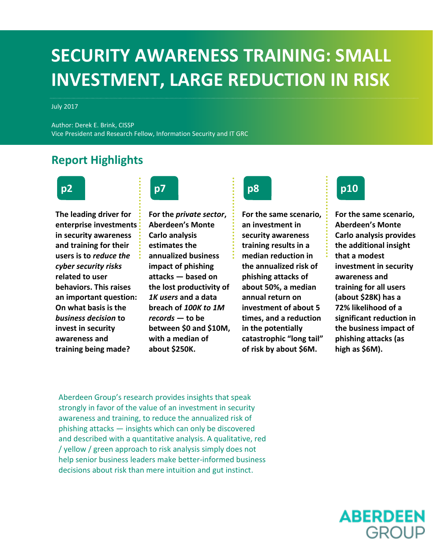## **SECURITY AWARENESS TRAINING: SMALL INVESTMENT, LARGE REDUCTION IN RISK**

July 2017

Author: Derek E. Brink, CISSP Vice President and Research Fellow, Information Security and IT GRC

## **Report Highlights**



**The leading driver for enterprise investments in security awareness and training for their users is to** *reduce the cyber security risks* **related to user behaviors. This raises an important question: On what basis is the**  *business decision* **to invest in security awareness and training being made?**



**For the** *private sector***, Aberdeen's Monte Carlo analysis estimates the annualized business impact of phishing attacks — based on the lost productivity of**  *1K users* **and a data breach of** *100K to 1M records* **— to be between \$0 and \$10M, with a median of about \$250K.**



**For the same scenario, an investment in security awareness training results in a median reduction in the annualized risk of phishing attacks of about 50%, a median annual return on investment of about 5 times, and a reduction in the potentially catastrophic "long tail" of risk by about \$6M.**



**For the same scenario, Aberdeen's Monte Carlo analysis provides the additional insight that a modest investment in security awareness and training for all users (about \$28K) has a 72% likelihood of a significant reduction in the business impact of phishing attacks (as high as \$6M).**

Aberdeen Group's research provides insights that speak strongly in favor of the value of an investment in security awareness and training, to reduce the annualized risk of phishing attacks — insights which can only be discovered and described with a quantitative analysis. A qualitative, red / yellow / green approach to risk analysis simply does not help senior business leaders make better-informed business decisions about risk than mere intuition and gut instinct.

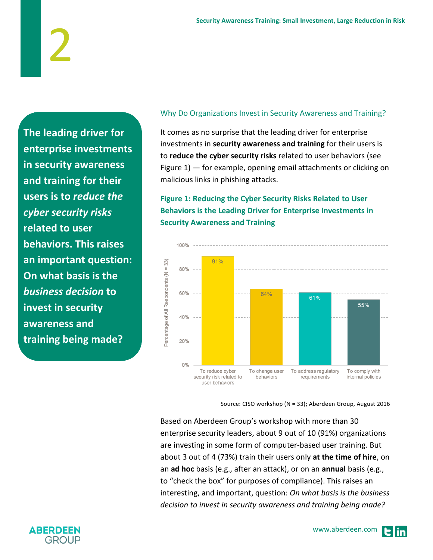**The leading driver for enterprise investments in security awareness and training for their users is to** *reduce the cyber security risks* **related to user behaviors. This raises an important question: On what basis is the**  *business decision* **to invest in security awareness and training being made?**

2

## Why Do Organizations Invest in Security Awareness and Training?

It comes as no surprise that the leading driver for enterprise investments in **security awareness and training** for their users is to **reduce the cyber security risks** related to user behaviors (see Figure 1) — for example, opening email attachments or clicking on malicious links in phishing attacks.

## **Figure 1: Reducing the Cyber Security Risks Related to User Behaviors is the Leading Driver for Enterprise Investments in Security Awareness and Training**



Source: CISO workshop (N = 33); Aberdeen Group, August 2016

Based on Aberdeen Group's workshop with more than 30 enterprise security leaders, about 9 out of 10 (91%) organizations are investing in some form of computer-based user training. But about 3 out of 4 (73%) train their users only **at the time of hire**, on an **ad hoc** basis (e.g., after an attack), or on an **annual** basis (e.g., to "check the box" for purposes of compliance). This raises an interesting, and important, question: *On what basis is the business decision to invest in security awareness and training being made?*

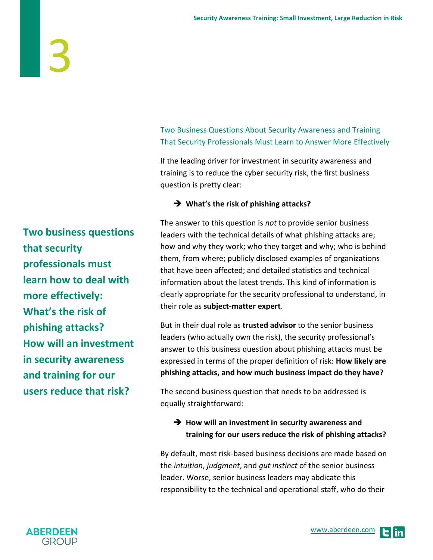Two Business Questions About Security Awareness and Training That Security Professionals Must Learn to Answer More Effectively

If the leading driver for investment in security awareness and training is to reduce the cyber security risk, the first business question is pretty clear:

## **What's the risk of phishing attacks?**

The answer to this question is *not* to provide senior business leaders with the technical details of what phishing attacks are; how and why they work; who they target and why; who is behind them, from where; publicly disclosed examples of organizations that have been affected; and detailed statistics and technical information about the latest trends. This kind of information is clearly appropriate for the security professional to understand, in their role as **subject-matter expert**.

But in their dual role as **trusted advisor** to the senior business leaders (who actually own the risk), the security professional's answer to this business question about phishing attacks must be expressed in terms of the proper definition of risk: **How likely are phishing attacks, and how much business impact do they have?**

The second business question that needs to be addressed is equally straightforward:

## **→** How will an investment in security awareness and **training for our users reduce the risk of phishing attacks?**

By default, most risk-based business decisions are made based on the *intuition*, *judgment*, and *gut instinct* of the senior business leader. Worse, senior business leaders may abdicate this responsibility to the technical and operational staff, who do their

**Two business questions that security professionals must learn how to deal with more effectively: What's the risk of phishing attacks? How will an investment in security awareness and training for our users reduce that risk?**

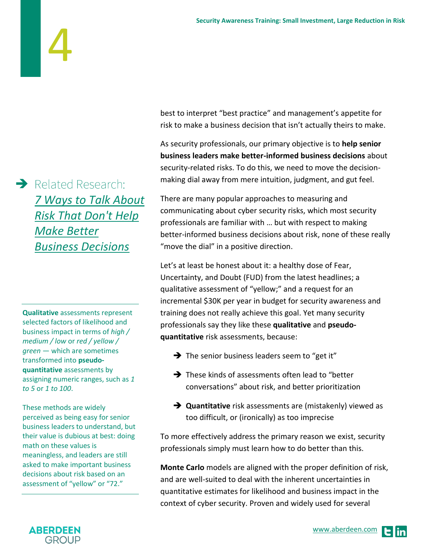$\rightarrow$  Related Research: *[7 Ways to Talk About](http://aberdeen.com/research/16684/16684-CL-SMB-Risk-Breach.aspx/content.aspx)  [Risk That Don't Help](http://aberdeen.com/research/16684/16684-CL-SMB-Risk-Breach.aspx/content.aspx)  [Make Better](http://aberdeen.com/research/16684/16684-CL-SMB-Risk-Breach.aspx/content.aspx)  [Business Decisions](http://aberdeen.com/research/16684/16684-CL-SMB-Risk-Breach.aspx/content.aspx)*

4

**Qualitative** assessments represent selected factors of likelihood and business impact in terms of *high / medium / low* or *red / yellow / green* — which are sometimes transformed into **pseudoquantitative** assessments by assigning numeric ranges, such as *1 to 5* or *1 to 100*.

These methods are widely perceived as being easy for senior business leaders to understand, but their value is dubious at best: doing math on these values is meaningless, and leaders are still asked to make important business decisions about risk based on an assessment of "yellow" or "72."

best to interpret "best practice" and management's appetite for risk to make a business decision that isn't actually theirs to make.

As security professionals, our primary objective is to **help senior business leaders make better-informed business decisions** about security-related risks. To do this, we need to move the decisionmaking dial away from mere intuition, judgment, and gut feel.

There are many popular approaches to measuring and communicating about cyber security risks, which most security professionals are familiar with … but with respect to making better-informed business decisions about risk, none of these really "move the dial" in a positive direction.

Let's at least be honest about it: a healthy dose of Fear, Uncertainty, and Doubt (FUD) from the latest headlines; a qualitative assessment of "yellow;" and a request for an incremental \$30K per year in budget for security awareness and training does not really achieve this goal. Yet many security professionals say they like these **qualitative** and **pseudoquantitative** risk assessments, because:

- $\rightarrow$  The senior business leaders seem to "get it"
- $\rightarrow$  These kinds of assessments often lead to "better conversations" about risk, and better prioritization
- $\rightarrow$  **Quantitative** risk assessments are (mistakenly) viewed as too difficult, or (ironically) as too imprecise

To more effectively address the primary reason we exist, security professionals simply must learn how to do better than this.

**Monte Carlo** models are aligned with the proper definition of risk, and are well-suited to deal with the inherent uncertainties in quantitative estimates for likelihood and business impact in the context of cyber security. Proven and widely used for several

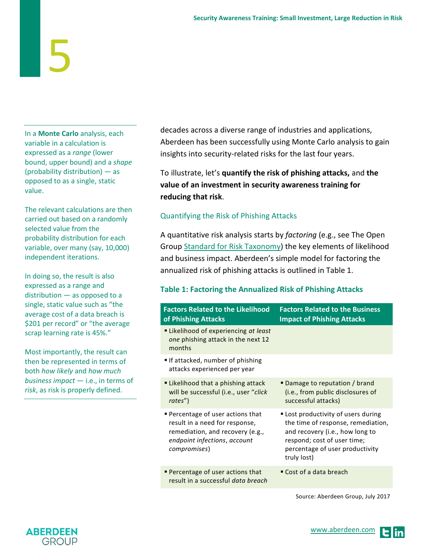In a **Monte Carlo** analysis, each variable in a calculation is expressed as a *range* (lower bound, upper bound) and a *shape* (probability distribution) — as opposed to as a single, static value.

The relevant calculations are then carried out based on a randomly selected value from the probability distribution for each variable, over many (say, 10,000) independent iterations.

In doing so, the result is also expressed as a range and distribution — as opposed to a single, static value such as "the average cost of a data breach is \$201 per record" or "the average scrap learning rate is 45%."

Most importantly, the result can then be represented in terms of both *how likely* and *how much business impact* — i.e., in terms of *risk*, as risk is properly defined.

decades across a diverse range of industries and applications, Aberdeen has been successfully using Monte Carlo analysis to gain insights into security-related risks for the last four years.

To illustrate, let's **quantify the risk of phishing attacks,** and **the value of an investment in security awareness training for reducing that risk**.

## Quantifying the Risk of Phishing Attacks

A quantitative risk analysis starts by *factoring* (e.g., see The Open Group [Standard for Risk Taxonomy\)](https://www2.opengroup.org/ogsys/catalog/C13K) the key elements of likelihood and business impact. Aberdeen's simple model for factoring the annualized risk of phishing attacks is outlined in Table 1.

## **Table 1: Factoring the Annualized Risk of Phishing Attacks**

| <b>Factors Related to the Likelihood</b><br>of Phishing Attacks                                                                                              | <b>Factors Related to the Business</b><br><b>Impact of Phishing Attacks</b>                                                                                                                   |
|--------------------------------------------------------------------------------------------------------------------------------------------------------------|-----------------------------------------------------------------------------------------------------------------------------------------------------------------------------------------------|
| • Likelihood of experiencing at least<br>one phishing attack in the next 12<br>months                                                                        |                                                                                                                                                                                               |
| If attacked, number of phishing<br>attacks experienced per year                                                                                              |                                                                                                                                                                                               |
| " Likelihood that a phishing attack<br>will be successful (i.e., user "click<br>rates")                                                                      | ■ Damage to reputation / brand<br>(i.e., from public disclosures of<br>successful attacks)                                                                                                    |
| <b>Percentage of user actions that</b><br>result in a need for response,<br>remediation, and recovery (e.g.,<br>endpoint infections, account<br>compromises) | " Lost productivity of users during<br>the time of response, remediation,<br>and recovery (i.e., how long to<br>respond; cost of user time;<br>percentage of user productivity<br>truly lost) |
| Percentage of user actions that<br>result in a successful data breach                                                                                        | ■ Cost of a data breach                                                                                                                                                                       |

Source: Aberdeen Group, July 2017

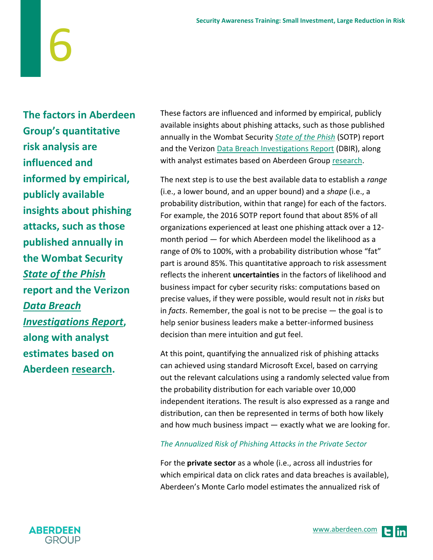**The factors in Aberdeen Group's quantitative risk analysis are influenced and informed by empirical, publicly available insights about phishing attacks, such as those published annually in the Wombat Security**  *[State of the Phish](https://info.wombatsecurity.com/state-of-the-phish)* **report and the Verizon**  *[Data Breach](http://www.verizonenterprise.com/verizon-insights-lab/dbir/)  [Investigations Report](http://www.verizonenterprise.com/verizon-insights-lab/dbir/)***, along with analyst estimates based on Aberdeen [research.](http://aberdeen.com/_aberdeen/it-security/ITSA/practice.aspx)**

6

These factors are influenced and informed by empirical, publicly available insights about phishing attacks, such as those published annually in the Wombat Security *[State of the Phish](https://info.wombatsecurity.com/state-of-the-phish)* (SOTP) report and the Verizon [Data Breach Investigations Report](http://www.verizonenterprise.com/verizon-insights-lab/dbir/) (DBIR), along with analyst estimates based on Aberdeen Group [research.](http://aberdeen.com/_aberdeen/it-security/ITSA/practice.aspx)

The next step is to use the best available data to establish a *range* (i.e., a lower bound, and an upper bound) and a *shape* (i.e., a probability distribution, within that range) for each of the factors. For example, the 2016 SOTP report found that about 85% of all organizations experienced at least one phishing attack over a 12 month period — for which Aberdeen model the likelihood as a range of 0% to 100%, with a probability distribution whose "fat" part is around 85%. This quantitative approach to risk assessment reflects the inherent **uncertainties** in the factors of likelihood and business impact for cyber security risks: computations based on precise values, if they were possible, would result not in *risks* but in *facts*. Remember, the goal is not to be precise — the goal is to help senior business leaders make a better-informed business decision than mere intuition and gut feel.

At this point, quantifying the annualized risk of phishing attacks can achieved using standard Microsoft Excel, based on carrying out the relevant calculations using a randomly selected value from the probability distribution for each variable over 10,000 independent iterations. The result is also expressed as a range and distribution, can then be represented in terms of both how likely and how much business impact — exactly what we are looking for.

## *The Annualized Risk of Phishing Attacks in the Private Sector*

For the **private sector** as a whole (i.e., across all industries for which empirical data on click rates and data breaches is available), Aberdeen's Monte Carlo model estimates the annualized risk of

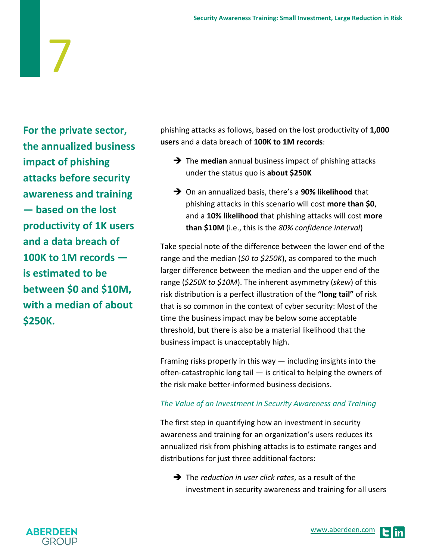**For the private sector, the annualized business impact of phishing attacks before security awareness and training — based on the lost productivity of 1K users and a data breach of 100K to 1M records is estimated to be between \$0 and \$10M, with a median of about \$250K.**

7

phishing attacks as follows, based on the lost productivity of **1,000 users** and a data breach of **100K to 1M records**:

- The **median** annual business impact of phishing attacks under the status quo is **about \$250K**
- On an annualized basis, there's a **90% likelihood** that phishing attacks in this scenario will cost **more than \$0**, and a **10% likelihood** that phishing attacks will cost **more than \$10M** (i.e., this is the *80% confidence interval*)

Take special note of the difference between the lower end of the range and the median (*\$0 to \$250K*), as compared to the much larger difference between the median and the upper end of the range (*\$250K to \$10M*). The inherent asymmetry (*skew*) of this risk distribution is a perfect illustration of the **"long tail"** of risk that is so common in the context of cyber security: Most of the time the business impact may be below some acceptable threshold, but there is also be a material likelihood that the business impact is unacceptably high.

Framing risks properly in this way — including insights into the often-catastrophic long tail — is critical to helping the owners of the risk make better-informed business decisions.

## *The Value of an Investment in Security Awareness and Training*

The first step in quantifying how an investment in security awareness and training for an organization's users reduces its annualized risk from phishing attacks is to estimate ranges and distributions for just three additional factors:

 The *reduction in user click rates*, as a result of the investment in security awareness and training for all users



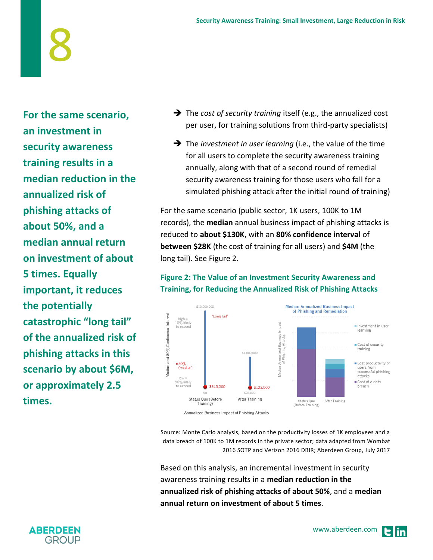**For the same scenario, an investment in security awareness training results in a median reduction in the annualized risk of phishing attacks of about 50%, and a median annual return on investment of about 5 times. Equally important, it reduces the potentially catastrophic "long tail" of the annualized risk of phishing attacks in this scenario by about \$6M, or approximately 2.5 times.**

- The *cost of security training* itself (e.g., the annualized cost per user, for training solutions from third-party specialists)
- The *investment in user learning* (i.e., the value of the time for all users to complete the security awareness training annually, along with that of a second round of remedial security awareness training for those users who fall for a simulated phishing attack after the initial round of training)

For the same scenario (public sector, 1K users, 100K to 1M records), the **median** annual business impact of phishing attacks is reduced to **about \$130K**, with an **80% confidence interval** of **between \$28K** (the cost of training for all users) and **\$4M** (the long tail). See Figure 2.

## **Figure 2: The Value of an Investment Security Awareness and Training, for Reducing the Annualized Risk of Phishing Attacks**



Source: Monte Carlo analysis, based on the productivity losses of 1K employees and a data breach of 100K to 1M records in the private sector; data adapted from Wombat 2016 SOTP and Verizon 2016 DBIR; Aberdeen Group, July 2017

Based on this analysis, an incremental investment in security awareness training results in a **median reduction in the annualized risk of phishing attacks of about 50%**, and a **median annual return on investment of about 5 times**.

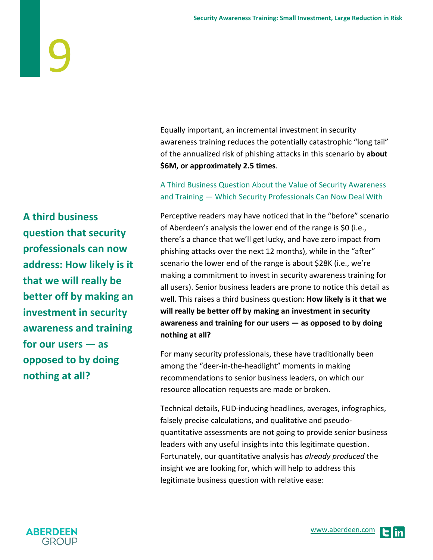Equally important, an incremental investment in security awareness training reduces the potentially catastrophic "long tail" of the annualized risk of phishing attacks in this scenario by **about \$6M, or approximately 2.5 times**.

## A Third Business Question About the Value of Security Awareness and Training — Which Security Professionals Can Now Deal With

Perceptive readers may have noticed that in the "before" scenario of Aberdeen's analysis the lower end of the range is \$0 (i.e., there's a chance that we'll get lucky, and have zero impact from phishing attacks over the next 12 months), while in the "after" scenario the lower end of the range is about \$28K (i.e., we're making a commitment to invest in security awareness training for all users). Senior business leaders are prone to notice this detail as well. This raises a third business question: **How likely is it that we will really be better off by making an investment in security awareness and training for our users — as opposed to by doing nothing at all?**

For many security professionals, these have traditionally been among the "deer-in-the-headlight" moments in making recommendations to senior business leaders, on which our resource allocation requests are made or broken.

Technical details, FUD-inducing headlines, averages, infographics, falsely precise calculations, and qualitative and pseudoquantitative assessments are not going to provide senior business leaders with any useful insights into this legitimate question. Fortunately, our quantitative analysis has *already produced* the insight we are looking for, which will help to address this legitimate business question with relative ease:

**A third business question that security professionals can now address: How likely is it that we will really be better off by making an investment in security awareness and training for our users — as opposed to by doing nothing at all?**

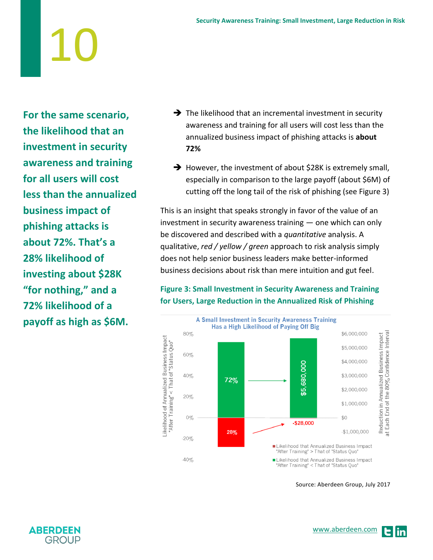**For the same scenario, the likelihood that an investment in security awareness and training for all users will cost less than the annualized business impact of phishing attacks is about 72%. That's a 28% likelihood of investing about \$28K "for nothing," and a 72% likelihood of a payoff as high as \$6M.** 

- $\rightarrow$  The likelihood that an incremental investment in security awareness and training for all users will cost less than the annualized business impact of phishing attacks is **about 72%**
- $\rightarrow$  However, the investment of about \$28K is extremely small, especially in comparison to the large payoff (about \$6M) of cutting off the long tail of the risk of phishing (see Figure 3)

This is an insight that speaks strongly in favor of the value of an investment in security awareness training — one which can only be discovered and described with a *quantitative* analysis. A qualitative, *red / yellow / green* approach to risk analysis simply does not help senior business leaders make better-informed business decisions about risk than mere intuition and gut feel.

## **Figure 3: Small Investment in Security Awareness and Training for Users, Large Reduction in the Annualized Risk of Phishing**



Source: Aberdeen Group, July 2017

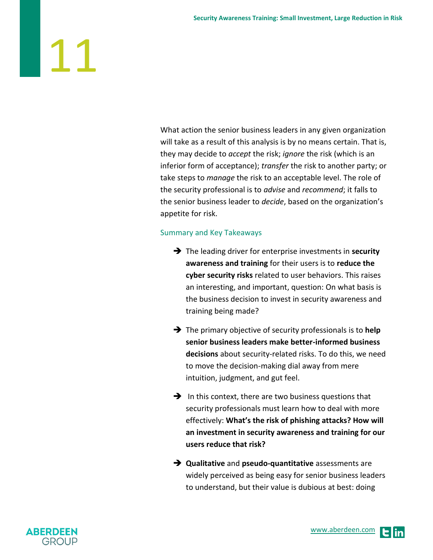What action the senior business leaders in any given organization will take as a result of this analysis is by no means certain. That is, they may decide to *accept* the risk; *ignore* the risk (which is an inferior form of acceptance); *transfer* the risk to another party; or take steps to *manage* the risk to an acceptable level. The role of the security professional is to *advise* and *recommend*; it falls to the senior business leader to *decide*, based on the organization's appetite for risk.

## Summary and Key Takeaways

- The leading driver for enterprise investments in **security awareness and training** for their users is to **reduce the cyber security risks** related to user behaviors. This raises an interesting, and important, question: On what basis is the business decision to invest in security awareness and training being made?
- The primary objective of security professionals is to **help senior business leaders make better-informed business decisions** about security-related risks. To do this, we need to move the decision-making dial away from mere intuition, judgment, and gut feel.
- $\rightarrow$  In this context, there are two business questions that security professionals must learn how to deal with more effectively: **What's the risk of phishing attacks? How will an investment in security awareness and training for our users reduce that risk?**
- **Qualitative** and **pseudo-quantitative** assessments are widely perceived as being easy for senior business leaders to understand, but their value is dubious at best: doing

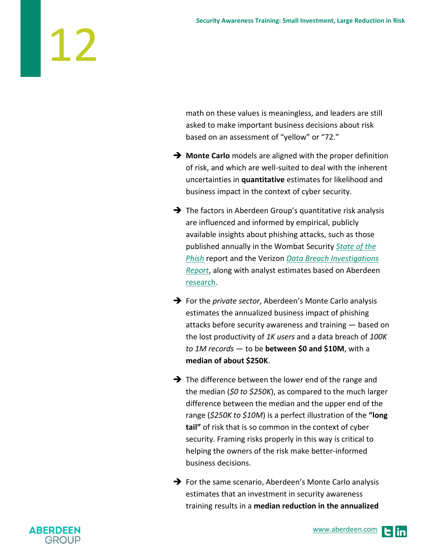math on these values is meaningless, and leaders are still asked to make important business decisions about risk based on an assessment of "yellow" or "72."

- **Monte Carlo** models are aligned with the proper definition of risk, and which are well-suited to deal with the inherent uncertainties in **quantitative** estimates for likelihood and business impact in the context of cyber security.
- $\rightarrow$  The factors in Aberdeen Group's quantitative risk analysis are influenced and informed by empirical, publicly available insights about phishing attacks, such as those published annually in the Wombat Security *[State of the](https://info.wombatsecurity.com/state-of-the-phish)  [Phish](https://info.wombatsecurity.com/state-of-the-phish)* report and the Verizon *[Data Breach Investigations](http://www.verizonenterprise.com/verizon-insights-lab/dbir/)  [Report](http://www.verizonenterprise.com/verizon-insights-lab/dbir/)*, along with analyst estimates based on Aberdeen [research.](http://aberdeen.com/_aberdeen/it-security/ITSA/practice.aspx)
- For the *private sector*, Aberdeen's Monte Carlo analysis estimates the annualized business impact of phishing attacks before security awareness and training — based on the lost productivity of *1K users* and a data breach of *100K to 1M records* — to be **between \$0 and \$10M**, with a **median of about \$250K**.
- $\rightarrow$  The difference between the lower end of the range and the median (*\$0 to \$250K*), as compared to the much larger difference between the median and the upper end of the range (*\$250K to \$10M*) is a perfect illustration of the **"long tail"** of risk that is so common in the context of cyber security. Framing risks properly in this way is critical to helping the owners of the risk make better-informed business decisions.
- $\rightarrow$  For the same scenario, Aberdeen's Monte Carlo analysis estimates that an investment in security awareness training results in a **median reduction in the annualized**



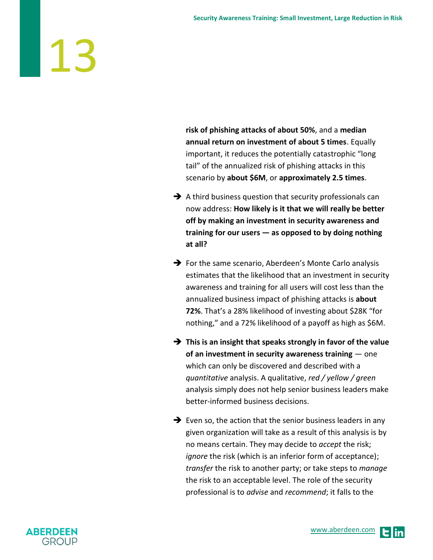**risk of phishing attacks of about 50%**, and a **median annual return on investment of about 5 times**. Equally important, it reduces the potentially catastrophic "long tail" of the annualized risk of phishing attacks in this scenario by **about \$6M**, or **approximately 2.5 times**.

- $\rightarrow$  A third business question that security professionals can now address: **How likely is it that we will really be better off by making an investment in security awareness and training for our users — as opposed to by doing nothing at all?**
- $\rightarrow$  For the same scenario, Aberdeen's Monte Carlo analysis estimates that the likelihood that an investment in security awareness and training for all users will cost less than the annualized business impact of phishing attacks is **about 72%**. That's a 28% likelihood of investing about \$28K "for nothing," and a 72% likelihood of a payoff as high as \$6M.
- **This is an insight that speaks strongly in favor of the value of an investment in security awareness training** — one which can only be discovered and described with a *quantitative* analysis. A qualitative, *red / yellow / green* analysis simply does not help senior business leaders make better-informed business decisions.
- $\rightarrow$  Even so, the action that the senior business leaders in any given organization will take as a result of this analysis is by no means certain. They may decide to *accept* the risk; *ignore* the risk (which is an inferior form of acceptance); *transfer* the risk to another party; or take steps to *manage* the risk to an acceptable level. The role of the security professional is to *advise* and *recommend*; it falls to the